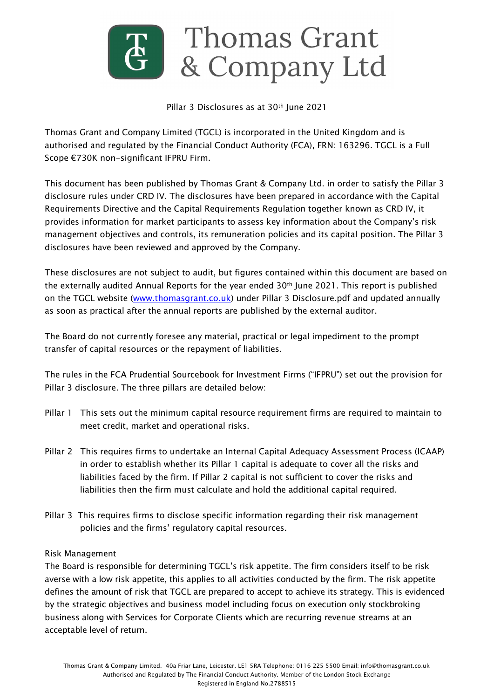

#### Pillar 3 Disclosures as at 30<sup>th</sup> June 2021

Thomas Grant and Company Limited (TGCL) is incorporated in the United Kingdom and is authorised and regulated by the Financial Conduct Authority (FCA), FRN: 163296. TGCL is a Full Scope €730K non-significant IFPRU Firm.

This document has been published by Thomas Grant & Company Ltd. in order to satisfy the Pillar 3 disclosure rules under CRD IV. The disclosures have been prepared in accordance with the Capital Requirements Directive and the Capital Requirements Regulation together known as CRD IV, it provides information for market participants to assess key information about the Company's risk management objectives and controls, its remuneration policies and its capital position. The Pillar 3 disclosures have been reviewed and approved by the Company.

These disclosures are not subject to audit, but figures contained within this document are based on the externally audited Annual Reports for the year ended 30<sup>th</sup> June 2021. This report is published on the TGCL website ([www.thomasgrant.co.uk\)](http://www.thomasgrant.co.uk/) under Pillar 3 Disclosure.pdf and updated annually as soon as practical after the annual reports are published by the external auditor.

The Board do not currently foresee any material, practical or legal impediment to the prompt transfer of capital resources or the repayment of liabilities.

The rules in the FCA Prudential Sourcebook for Investment Firms ("IFPRU") set out the provision for Pillar 3 disclosure. The three pillars are detailed below:

- Pillar 1 This sets out the minimum capital resource requirement firms are required to maintain to meet credit, market and operational risks.
- Pillar 2 This requires firms to undertake an Internal Capital Adequacy Assessment Process (ICAAP) in order to establish whether its Pillar 1 capital is adequate to cover all the risks and liabilities faced by the firm. If Pillar 2 capital is not sufficient to cover the risks and liabilities then the firm must calculate and hold the additional capital required.
- Pillar 3 This requires firms to disclose specific information regarding their risk management policies and the firms' regulatory capital resources.

## Risk Management

The Board is responsible for determining TGCL's risk appetite. The firm considers itself to be risk averse with a low risk appetite, this applies to all activities conducted by the firm. The risk appetite defines the amount of risk that TGCL are prepared to accept to achieve its strategy. This is evidenced by the strategic objectives and business model including focus on execution only stockbroking business along with Services for Corporate Clients which are recurring revenue streams at an acceptable level of return.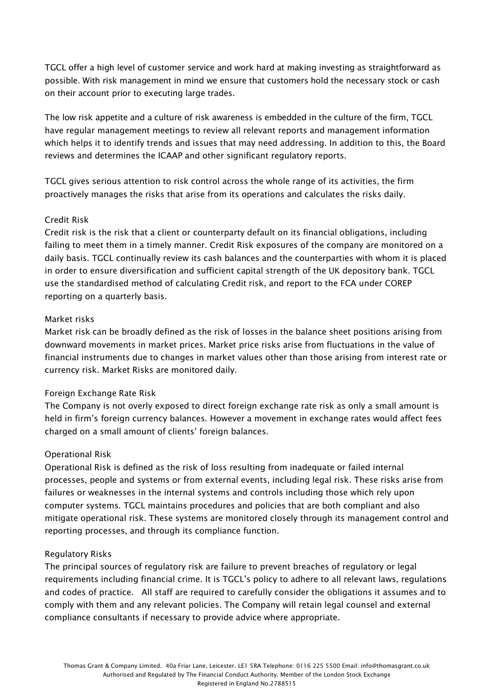TGCL offer a high level of customer service and work hard at making investing as straightforward as possible. With risk management in mind we ensure that customers hold the necessary stock or cash on their account prior to executing large trades.

The low risk appetite and a culture of risk awareness is embedded in the culture of the firm, TGCL have regular management meetings to review all relevant reports and management information which helps it to identify trends and issues that may need addressing. In addition to this, the Board reviews and determines the ICAAP and other significant regulatory reports.

TGCL gives serious attention to risk control across the whole range of its activities, the firm proactively manages the risks that arise from its operations and calculates the risks daily.

# Credit Risk

Credit risk is the risk that a client or counterparty default on its financial obligations, including failing to meet them in a timely manner. Credit Risk exposures of the company are monitored on a daily basis. TGCL continually review its cash balances and the counterparties with whom it is placed in order to ensure diversification and sufficient capital strength of the UK depository bank. TGCL use the standardised method of calculating Credit risk, and report to the FCA under COREP reporting on a quarterly basis.

## Market risks

Market risk can be broadly defined as the risk of losses in the balance sheet positions arising from downward movements in market prices. Market price risks arise from fluctuations in the value of financial instruments due to changes in market values other than those arising from interest rate or currency risk. Market Risks are monitored daily.

# Foreign Exchange Rate Risk

The Company is not overly exposed to direct foreign exchange rate risk as only a small amount is held in firm's foreign currency balances. However a movement in exchange rates would affect fees charged on a small amount of clients' foreign balances.

## Operational Risk

Operational Risk is defined as the risk of loss resulting from inadequate or failed internal processes, people and systems or from external events, including legal risk. These risks arise from failures or weaknesses in the internal systems and controls including those which rely upon computer systems. TGCL maintains procedures and policies that are both compliant and also mitigate operational risk. These systems are monitored closely through its management control and reporting processes, and through its compliance function.

## Regulatory Risks

The principal sources of regulatory risk are failure to prevent breaches of regulatory or legal requirements including financial crime. It is TGCL's policy to adhere to all relevant laws, regulations and codes of practice. All staff are required to carefully consider the obligations it assumes and to comply with them and any relevant policies. The Company will retain legal counsel and external compliance consultants if necessary to provide advice where appropriate.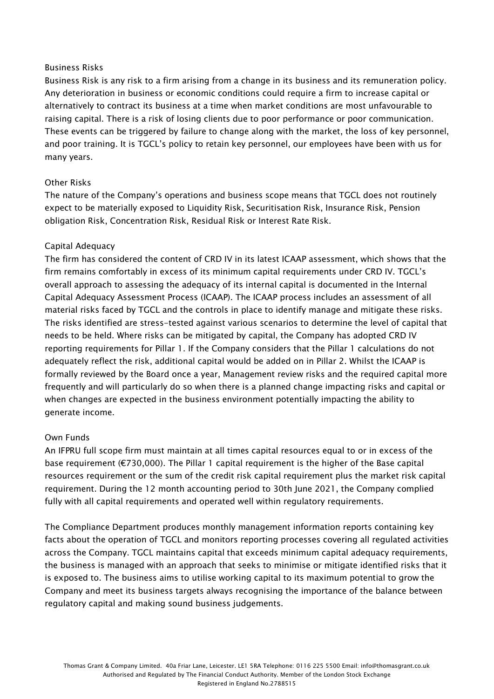## Business Risks

Business Risk is any risk to a firm arising from a change in its business and its remuneration policy. Any deterioration in business or economic conditions could require a firm to increase capital or alternatively to contract its business at a time when market conditions are most unfavourable to raising capital. There is a risk of losing clients due to poor performance or poor communication. These events can be triggered by failure to change along with the market, the loss of key personnel, and poor training. It is TGCL's policy to retain key personnel, our employees have been with us for many years.

## Other Risks

The nature of the Company's operations and business scope means that TGCL does not routinely expect to be materially exposed to Liquidity Risk, Securitisation Risk, Insurance Risk, Pension obligation Risk, Concentration Risk, Residual Risk or Interest Rate Risk.

# Capital Adequacy

The firm has considered the content of CRD IV in its latest ICAAP assessment, which shows that the firm remains comfortably in excess of its minimum capital requirements under CRD IV. TGCL's overall approach to assessing the adequacy of its internal capital is documented in the Internal Capital Adequacy Assessment Process (ICAAP). The ICAAP process includes an assessment of all material risks faced by TGCL and the controls in place to identify manage and mitigate these risks. The risks identified are stress-tested against various scenarios to determine the level of capital that needs to be held. Where risks can be mitigated by capital, the Company has adopted CRD IV reporting requirements for Pillar 1. If the Company considers that the Pillar 1 calculations do not adequately reflect the risk, additional capital would be added on in Pillar 2. Whilst the ICAAP is formally reviewed by the Board once a year, Management review risks and the required capital more frequently and will particularly do so when there is a planned change impacting risks and capital or when changes are expected in the business environment potentially impacting the ability to generate income.

## Own Funds

An IFPRU full scope firm must maintain at all times capital resources equal to or in excess of the base requirement (€730,000). The Pillar 1 capital requirement is the higher of the Base capital resources requirement or the sum of the credit risk capital requirement plus the market risk capital requirement. During the 12 month accounting period to 30th June 2021, the Company complied fully with all capital requirements and operated well within regulatory requirements.

The Compliance Department produces monthly management information reports containing key facts about the operation of TGCL and monitors reporting processes covering all regulated activities across the Company. TGCL maintains capital that exceeds minimum capital adequacy requirements, the business is managed with an approach that seeks to minimise or mitigate identified risks that it is exposed to. The business aims to utilise working capital to its maximum potential to grow the Company and meet its business targets always recognising the importance of the balance between regulatory capital and making sound business judgements.